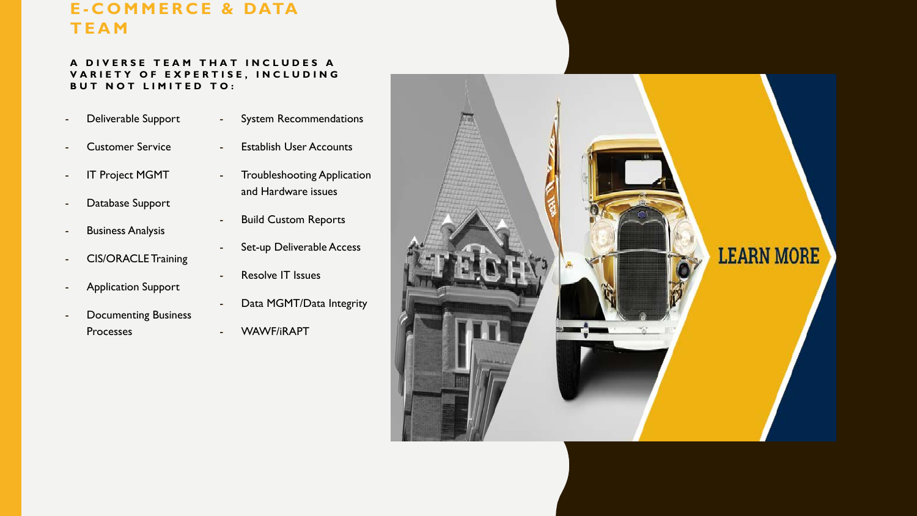#### **E - COMMERCE & DATA TEAM**

#### **A DIVERSE TEAM THAT INCLUDES A VARIETY OF EXPERTISE, INCLUDING BUT NOT LIMITED TO:**

- Deliverable Support
- System Recommendations
- Customer Service
- IT Project MGMT
- Database Support
- Business Analysis
- CIS/ORACLE Training
- Application Support
- Documenting Business **Processes**
- Establish User Accounts
- Troubleshooting Application and Hardware issues
- **Build Custom Reports**
- Set-up Deliverable Access
- Resolve IT Issues
- Data MGMT/Data Integrity
- WAWF/iRAPT

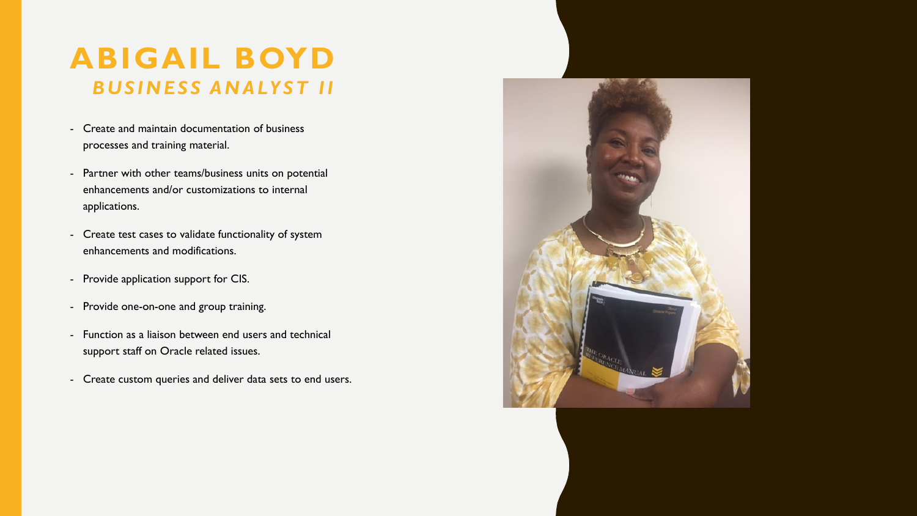## **ABIGAIL BOYD** *BUSINESS ANALYST II*

- Create and maintain documentation of business processes and training material.
- Partner with other teams/business units on potential enhancements and/or customizations to internal applications.
- Create test cases to validate functionality of system enhancements and modifications.
- Provide application support for CIS.
- Provide one-on-one and group training.
- Function as a liaison between end users and technical support staff on Oracle related issues.
- Create custom queries and deliver data sets to end users.

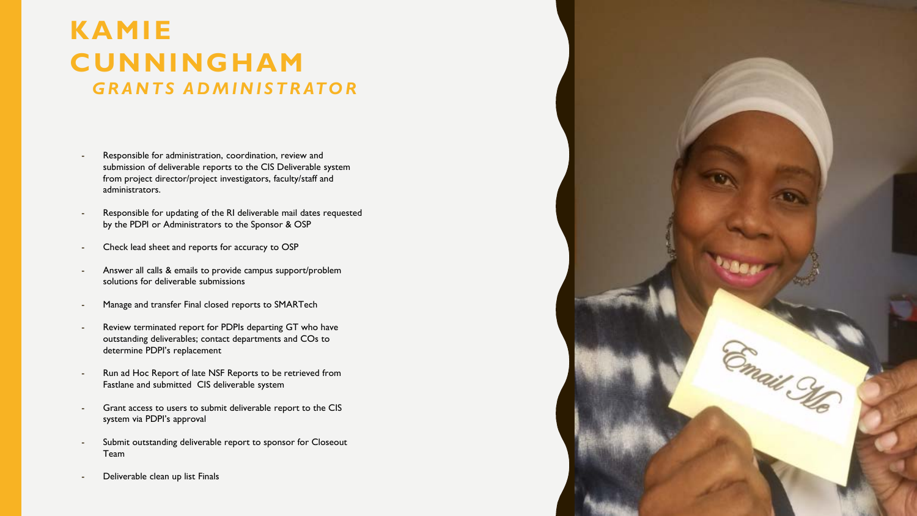#### **KAMIE CUNNINGHAM** *GRANTS ADMINISTRATOR*

- Responsible for administration, coordination, review and submission of deliverable reports to the CIS Deliverable system from project director/project investigators, faculty/staff and administrators.
- Responsible for updating of the RI deliverable mail dates requested by the PDPI or Administrators to the Sponsor & OSP
- Check lead sheet and reports for accuracy to OSP
- Answer all calls & emails to provide campus support/problem solutions for deliverable submissions
- Manage and transfer Final closed reports to SMARTech
- Review terminated report for PDPIs departing GT who have outstanding deliverables; contact departments and COs to determine PDPI's replacement
- Run ad Hoc Report of late NSF Reports to be retrieved from Fastlane and submitted CIS deliverable system
- Grant access to users to submit deliverable report to the CIS system via PDPI's approval
- Submit outstanding deliverable report to sponsor for Closeout Team
- Deliverable clean up list Finals

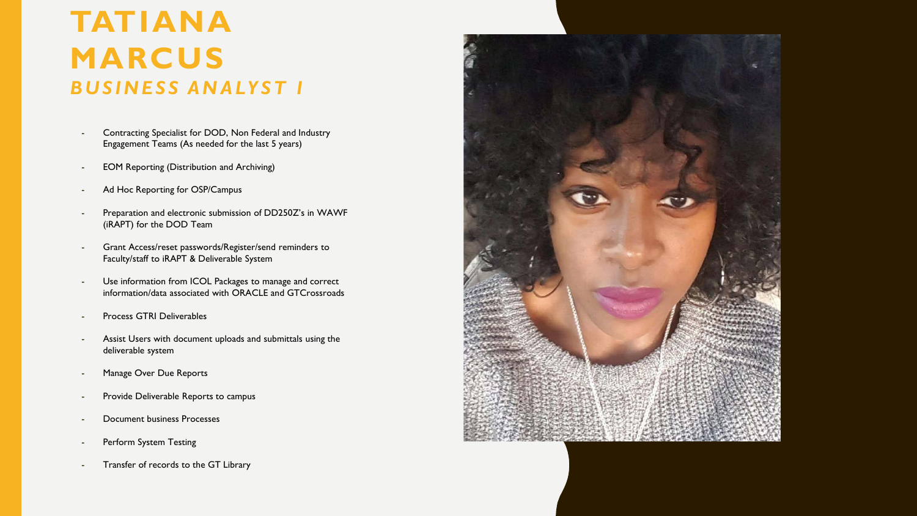# **TATIANA MARCUS** *BUSINESS ANALYST I*

- Contracting Specialist for DOD, Non Federal and Industry Engagement Teams (As needed for the last 5 years)
- EOM Reporting (Distribution and Archiving)
- Ad Hoc Reporting for OSP/Campus
- Preparation and electronic submission of DD250Z's in WAWF (iRAPT) for the DOD Team
- Grant Access/reset passwords/Register/send reminders to Faculty/staff to iRAPT & Deliverable System
- Use information from ICOL Packages to manage and correct information/data associated with ORACLE and GTCrossroads
- Process GTRI Deliverables
- Assist Users with document uploads and submittals using the deliverable system
- Manage Over Due Reports
- Provide Deliverable Reports to campus
- Document business Processes
- Perform System Testing
- Transfer of records to the GT Library

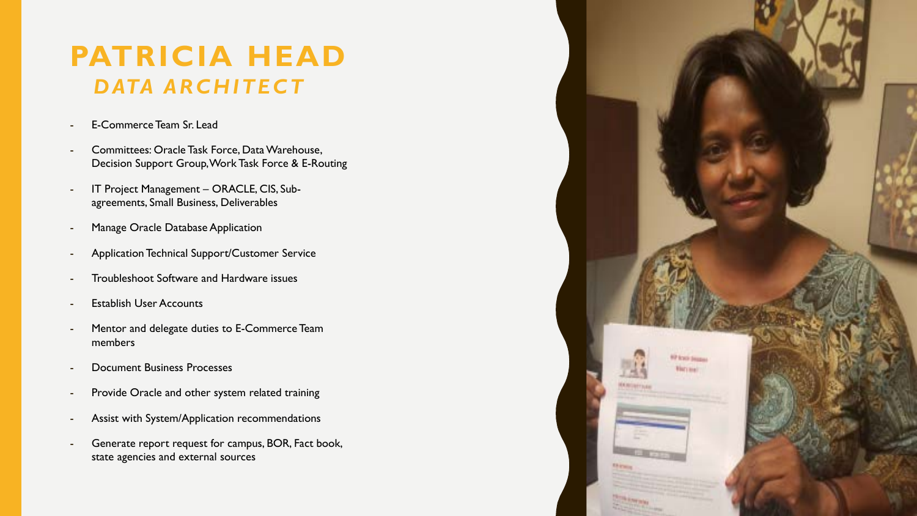## **PATRICIA HEAD** *DATA ARCHITECT*

- E-Commerce Team Sr. Lead
- Committees: Oracle Task Force, Data Warehouse, Decision Support Group, Work Task Force & E-Routing
- IT Project Management ORACLE, CIS, Subagreements, Small Business, Deliverables
- Manage Oracle Database Application
- Application Technical Support/Customer Service
- Troubleshoot Software and Hardware issues
- **Establish User Accounts**
- Mentor and delegate duties to E-Commerce Team members
- Document Business Processes
- Provide Oracle and other system related training
- Assist with System/Application recommendations
- Generate report request for campus, BOR, Fact book, state agencies and external sources